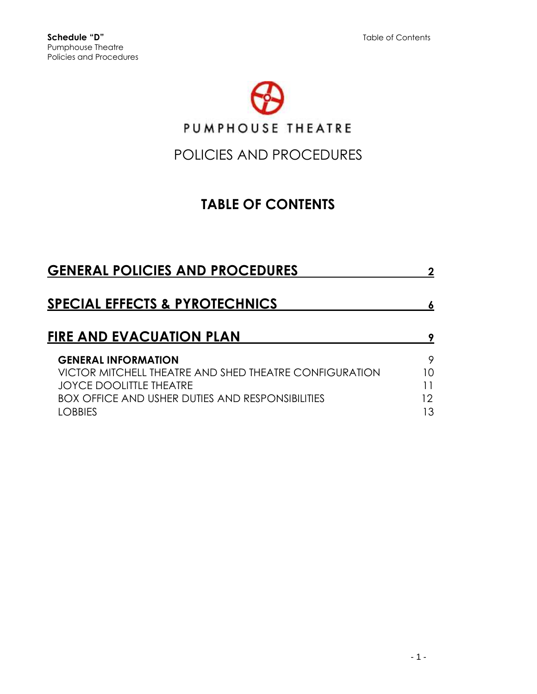

# POLICIES AND PROCEDURES

# **TABLE OF CONTENTS**

| <b>GENERAL POLICIES AND PROCEDURES</b>                  |    |
|---------------------------------------------------------|----|
| <b>SPECIAL EFFECTS &amp; PYROTECHNICS</b>               |    |
| <b>FIRE AND EVACUATION PLAN</b>                         |    |
| <b>GENERAL INFORMATION</b>                              | 9  |
| VICTOR MITCHELL THEATRE AND SHED THEATRE CONFIGURATION  | 10 |
| <b>JOYCE DOOLITTLE THEATRE</b>                          |    |
| <b>BOX OFFICE AND USHER DUTIES AND RESPONSIBILITIES</b> | 12 |
| OBBIES                                                  | IЗ |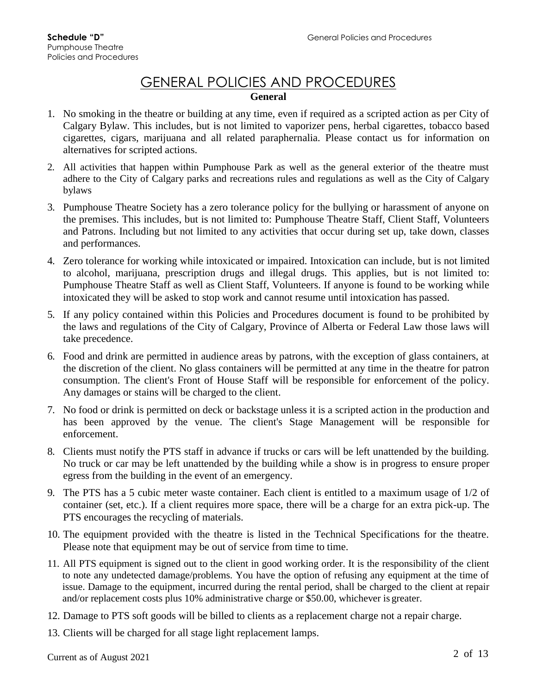# GENERAL POLICIES AND PROCEDURES

### **General**

- 1. No smoking in the theatre or building at any time, even if required as a scripted action as per City of Calgary Bylaw. This includes, but is not limited to vaporizer pens, herbal cigarettes, tobacco based cigarettes, cigars, marijuana and all related paraphernalia. Please contact us for information on alternatives for scripted actions.
- 2. All activities that happen within Pumphouse Park as well as the general exterior of the theatre must adhere to the City of Calgary parks and recreations rules and regulations as well as the City of Calgary bylaws
- 3. Pumphouse Theatre Society has a zero tolerance policy for the bullying or harassment of anyone on the premises. This includes, but is not limited to: Pumphouse Theatre Staff, Client Staff, Volunteers and Patrons. Including but not limited to any activities that occur during set up, take down, classes and performances.
- 4. Zero tolerance for working while intoxicated or impaired. Intoxication can include, but is not limited to alcohol, marijuana, prescription drugs and illegal drugs. This applies, but is not limited to: Pumphouse Theatre Staff as well as Client Staff, Volunteers. If anyone is found to be working while intoxicated they will be asked to stop work and cannot resume until intoxication has passed.
- 5. If any policy contained within this Policies and Procedures document is found to be prohibited by the laws and regulations of the City of Calgary, Province of Alberta or Federal Law those laws will take precedence.
- 6. Food and drink are permitted in audience areas by patrons, with the exception of glass containers, at the discretion of the client. No glass containers will be permitted at any time in the theatre for patron consumption. The client's Front of House Staff will be responsible for enforcement of the policy. Any damages or stains will be charged to the client.
- 7. No food or drink is permitted on deck or backstage unless it is a scripted action in the production and has been approved by the venue. The client's Stage Management will be responsible for enforcement.
- 8. Clients must notify the PTS staff in advance if trucks or cars will be left unattended by the building. No truck or car may be left unattended by the building while a show is in progress to ensure proper egress from the building in the event of an emergency.
- 9. The PTS has a 5 cubic meter waste container. Each client is entitled to a maximum usage of 1/2 of container (set, etc.). If a client requires more space, there will be a charge for an extra pick-up. The PTS encourages the recycling of materials.
- 10. The equipment provided with the theatre is listed in the Technical Specifications for the theatre. Please note that equipment may be out of service from time to time.
- 11. All PTS equipment is signed out to the client in good working order. It is the responsibility of the client to note any undetected damage/problems. You have the option of refusing any equipment at the time of issue. Damage to the equipment, incurred during the rental period, shall be charged to the client at repair and/or replacement costs plus 10% administrative charge or \$50.00, whichever is greater.
- 12. Damage to PTS soft goods will be billed to clients as a replacement charge not a repair charge.
- 13. Clients will be charged for all stage light replacement lamps.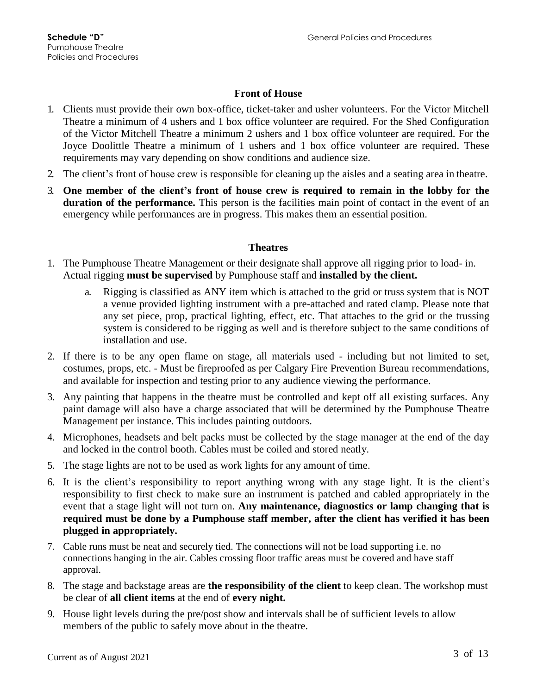### **Front of House**

- 1. Clients must provide their own box-office, ticket-taker and usher volunteers. For the Victor Mitchell Theatre a minimum of 4 ushers and 1 box office volunteer are required. For the Shed Configuration of the Victor Mitchell Theatre a minimum 2 ushers and 1 box office volunteer are required. For the Joyce Doolittle Theatre a minimum of 1 ushers and 1 box office volunteer are required. These requirements may vary depending on show conditions and audience size.
- 2. The client's front of house crew is responsible for cleaning up the aisles and a seating area in theatre.
- 3. **One member of the client's front of house crew is required to remain in the lobby for the duration of the performance.** This person is the facilities main point of contact in the event of an emergency while performances are in progress. This makes them an essential position.

### **Theatres**

- 1. The Pumphouse Theatre Management or their designate shall approve all rigging prior to load- in. Actual rigging **must be supervised** by Pumphouse staff and **installed by the client.**
	- a. Rigging is classified as ANY item which is attached to the grid or truss system that is NOT a venue provided lighting instrument with a pre-attached and rated clamp. Please note that any set piece, prop, practical lighting, effect, etc. That attaches to the grid or the trussing system is considered to be rigging as well and is therefore subject to the same conditions of installation and use.
- 2. If there is to be any open flame on stage, all materials used including but not limited to set, costumes, props, etc. - Must be fireproofed as per Calgary Fire Prevention Bureau recommendations, and available for inspection and testing prior to any audience viewing the performance.
- 3. Any painting that happens in the theatre must be controlled and kept off all existing surfaces. Any paint damage will also have a charge associated that will be determined by the Pumphouse Theatre Management per instance. This includes painting outdoors.
- 4. Microphones, headsets and belt packs must be collected by the stage manager at the end of the day and locked in the control booth. Cables must be coiled and stored neatly.
- 5. The stage lights are not to be used as work lights for any amount of time.
- 6. It is the client's responsibility to report anything wrong with any stage light. It is the client's responsibility to first check to make sure an instrument is patched and cabled appropriately in the event that a stage light will not turn on. **Any maintenance, diagnostics or lamp changing that is required must be done by a Pumphouse staff member, after the client has verified it has been plugged in appropriately.**
- 7. Cable runs must be neat and securely tied. The connections will not be load supporting i.e. no connections hanging in the air. Cables crossing floor traffic areas must be covered and have staff approval.
- 8. The stage and backstage areas are **the responsibility of the client** to keep clean. The workshop must be clear of **all client items** at the end of **every night.**
- 9. House light levels during the pre/post show and intervals shall be of sufficient levels to allow members of the public to safely move about in the theatre.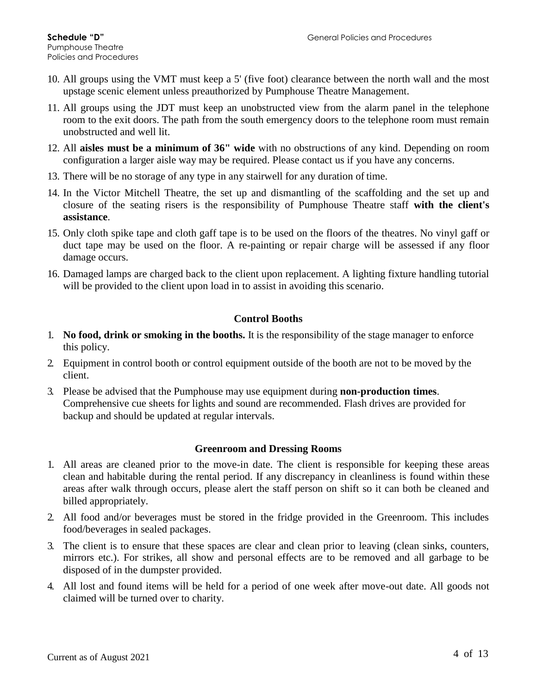- 10. All groups using the VMT must keep a 5' (five foot) clearance between the north wall and the most upstage scenic element unless preauthorized by Pumphouse Theatre Management.
- 11. All groups using the JDT must keep an unobstructed view from the alarm panel in the telephone room to the exit doors. The path from the south emergency doors to the telephone room must remain unobstructed and well lit.
- 12. All **aisles must be a minimum of 36" wide** with no obstructions of any kind. Depending on room configuration a larger aisle way may be required. Please contact us if you have any concerns.
- 13. There will be no storage of any type in any stairwell for any duration of time.
- 14. In the Victor Mitchell Theatre, the set up and dismantling of the scaffolding and the set up and closure of the seating risers is the responsibility of Pumphouse Theatre staff **with the client's assistance**.
- 15. Only cloth spike tape and cloth gaff tape is to be used on the floors of the theatres. No vinyl gaff or duct tape may be used on the floor. A re-painting or repair charge will be assessed if any floor damage occurs.
- 16. Damaged lamps are charged back to the client upon replacement. A lighting fixture handling tutorial will be provided to the client upon load in to assist in avoiding this scenario.

### **Control Booths**

- 1. **No food, drink or smoking in the booths.** It is the responsibility of the stage manager to enforce this policy.
- 2. Equipment in control booth or control equipment outside of the booth are not to be moved by the client.
- 3. Please be advised that the Pumphouse may use equipment during **non-production times**. Comprehensive cue sheets for lights and sound are recommended. Flash drives are provided for backup and should be updated at regular intervals.

### **Greenroom and Dressing Rooms**

- 1. All areas are cleaned prior to the move-in date. The client is responsible for keeping these areas clean and habitable during the rental period. If any discrepancy in cleanliness is found within these areas after walk through occurs, please alert the staff person on shift so it can both be cleaned and billed appropriately.
- 2. All food and/or beverages must be stored in the fridge provided in the Greenroom. This includes food/beverages in sealed packages.
- 3. The client is to ensure that these spaces are clear and clean prior to leaving (clean sinks, counters, mirrors etc.). For strikes, all show and personal effects are to be removed and all garbage to be disposed of in the dumpster provided.
- 4. All lost and found items will be held for a period of one week after move-out date. All goods not claimed will be turned over to charity.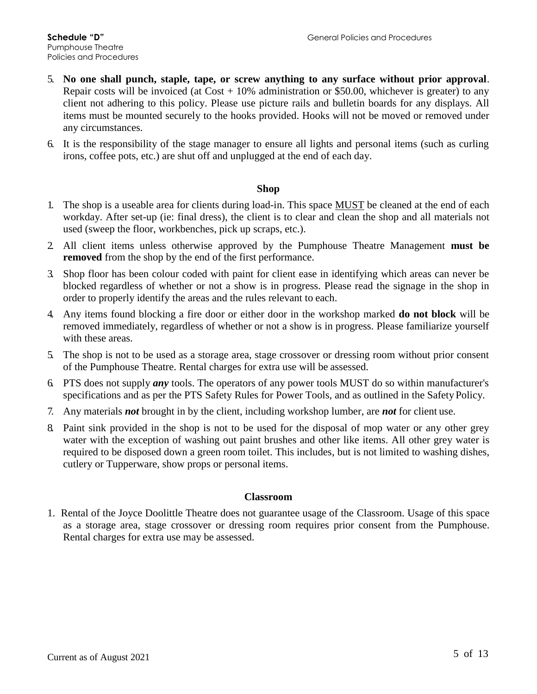- 5. **No one shall punch, staple, tape, or screw anything to any surface without prior approval**. Repair costs will be invoiced (at  $Cost + 10\%$  administration or \$50.00, whichever is greater) to any client not adhering to this policy. Please use picture rails and bulletin boards for any displays. All items must be mounted securely to the hooks provided. Hooks will not be moved or removed under any circumstances.
- 6. It is the responsibility of the stage manager to ensure all lights and personal items (such as curling irons, coffee pots, etc.) are shut off and unplugged at the end of each day.

### **Shop**

- 1. The shop is a useable area for clients during load-in. This space MUST be cleaned at the end of each workday. After set-up (ie: final dress), the client is to clear and clean the shop and all materials not used (sweep the floor, workbenches, pick up scraps, etc.).
- 2. All client items unless otherwise approved by the Pumphouse Theatre Management **must be removed** from the shop by the end of the first performance.
- 3. Shop floor has been colour coded with paint for client ease in identifying which areas can never be blocked regardless of whether or not a show is in progress. Please read the signage in the shop in order to properly identify the areas and the rules relevant to each.
- 4. Any items found blocking a fire door or either door in the workshop marked **do not block** will be removed immediately, regardless of whether or not a show is in progress. Please familiarize yourself with these areas.
- 5. The shop is not to be used as a storage area, stage crossover or dressing room without prior consent of the Pumphouse Theatre. Rental charges for extra use will be assessed.
- 6. PTS does not supply *any* tools. The operators of any power tools MUST do so within manufacturer's specifications and as per the PTS Safety Rules for Power Tools, and as outlined in the Safety Policy.
- 7. Any materials *not* brought in by the client, including workshop lumber, are *not* for client use.
- 8. Paint sink provided in the shop is not to be used for the disposal of mop water or any other grey water with the exception of washing out paint brushes and other like items. All other grey water is required to be disposed down a green room toilet. This includes, but is not limited to washing dishes, cutlery or Tupperware, show props or personal items.

#### **Classroom**

1. Rental of the Joyce Doolittle Theatre does not guarantee usage of the Classroom. Usage of this space as a storage area, stage crossover or dressing room requires prior consent from the Pumphouse. Rental charges for extra use may be assessed.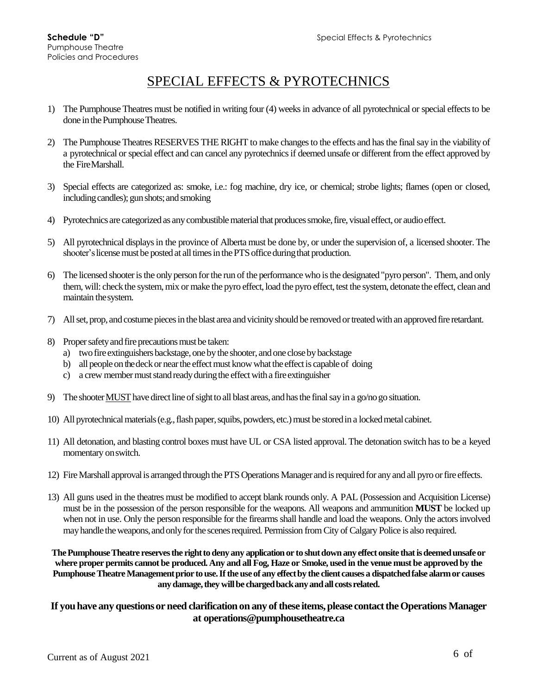# SPECIAL EFFECTS & PYROTECHNICS

- 1) The Pumphouse Theatres must be notified in writing four (4) weeks in advance of all pyrotechnical or special effects to be done in the Pumphouse Theatres.
- 2) The Pumphouse Theatres RESERVES THE RIGHT to make changes to the effects and has the final say in the viability of a pyrotechnical or special effect and can cancel any pyrotechnics if deemed unsafe or different from the effect approved by the FireMarshall.
- 3) Special effects are categorized as: smoke, i.e.: fog machine, dry ice, or chemical; strobe lights; flames (open or closed, including candles); gun shots; and smoking
- 4) Pyrotechnicsare categorizedas anycombustiblematerialthatproducessmoke,fire, visual effect, or audioeffect.
- 5) All pyrotechnical displays in the province of Alberta must be done by, or under the supervision of, a licensed shooter. The shooter's license must be posted at all times in the PTS office during that production.
- 6) The licensed shooteristhe onlyperson forthe run of the performancewho isthe designated"pyro person". Them, and only them, will: check the system, mix or make the pyro effect, load the pyro effect, test the system, detonate the effect, clean and maintain thesystem.
- 7) Allset, prop, andcostume piecesin the blast area and vicinityshould be removed ortreatedwith an approvedfire retardant.
- 8) Proper safety and fire precautions must be taken:
	- a) two fire extinguishers backstage, one by the shooter, and one close by backstage
	- b) all people on the deck or near the effect must know what the effect is capable of doing
	- c) a crew member must stand ready during the effect with a fire extinguisher
- 9) The shooter MUST have direct line of sight to all blast areas, and has the final say in a go/no go situation.
- 10) All pyrotechnical materials (e.g., flash paper, squibs, powders, etc.) must be stored in a locked metal cabinet.
- 11) All detonation, and blasting control boxes must have UL or CSA listed approval. The detonation switch has to be a keyed momentary onswitch.
- 12) Fire Marshall approval is arranged through the PTS Operations Manager and is required for any and all pyro or fire effects.
- 13) All guns used in the theatres must be modified to accept blank rounds only. A PAL (Possession and Acquisition License) must be in the possession of the person responsible for the weapons. All weapons and ammunition **MUST** be locked up when not in use. Only the person responsible for the firearms shall handle and load the weapons. Only the actors involved may handle the weapons, and only for the scenes required. Permission from City of Calgary Police is also required.

**ThePumphouseTheatre reservesthe righttodeny any applicationor to shutdownanyeffect onsite thatisdeemedunsafeor where proper permits cannot be produced. Any and all Fog, Haze or Smoke, used in the venue must be approved by the Pumphouse Theatre Managementprior touse.Iftheuseof any effectby the client causes a dispatchedfalse alarmor causes anydamage,they willbe chargedbackanyandall costsrelated.**

### **If youhave any questionsor need clarification on any ofthese items,please contacttheOperations Manager at operations@pumphousetheatre.ca**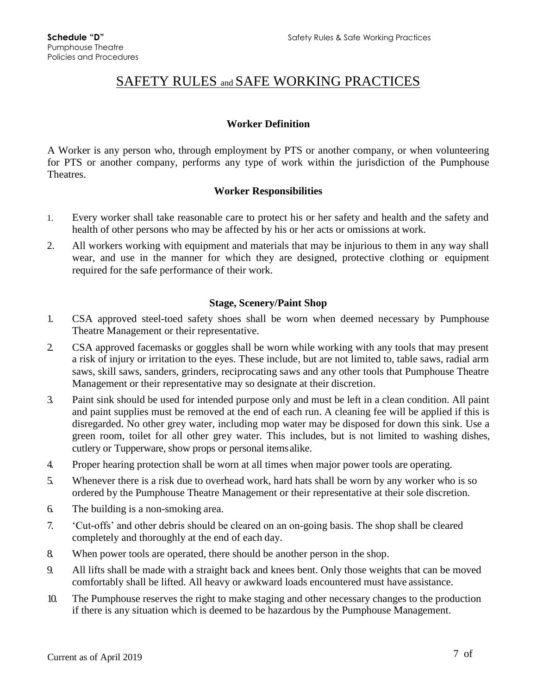## SAFETY RULES and SAFE WORKING PRACTICES

### **Worker Definition**

A Worker is any person who, through employment by PTS or another company, or when volunteering for PTS or another company, performs any type of work within the jurisdiction of the Pumphouse Theatres.

### **Worker Responsibilities**

- 1. Every worker shall take reasonable care to protect his or her safety and health and the safety and health of other persons who may be affected by his or her acts or omissions at work.
- 2. All workers working with equipment and materials that may be injurious to them in any way shall wear, and use in the manner for which they are designed, protective clothing or equipment required for the safe performance of their work.

### **Stage, Scenery/Paint Shop**

- 1. CSA approved steel-toed safety shoes shall be worn when deemed necessary by Pumphouse Theatre Management or their representative.
- 2. CSA approved facemasks or goggles shall be worn while working with any tools that may present a risk of injury or irritation to the eyes. These include, but are not limited to, table saws, radial arm saws, skill saws, sanders, grinders, reciprocating saws and any other tools that Pumphouse Theatre Management or their representative may so designate at their discretion.
- 3. Paint sink should be used for intended purpose only and must be left in a clean condition. All paint and paint supplies must be removed at the end of each run. A cleaning fee will be applied if this is disregarded. No other grey water, including mop water may be disposed for down this sink. Use a green room, toilet for all other grey water. This includes, but is not limited to washing dishes, cutlery or Tupperware, show props or personal itemsalike.
- 4. Proper hearing protection shall be worn at all times when major power tools are operating.
- 5. Whenever there is a risk due to overhead work, hard hats shall be worn by any worker who is so ordered by the Pumphouse Theatre Management or their representative at their sole discretion.
- 6. The building is a non-smoking area.
- 7. 'Cut-offs' and other debris should be cleared on an on-going basis. The shop shall be cleared completely and thoroughly at the end of each day.
- 8. When power tools are operated, there should be another person in the shop.
- 9. All lifts shall be made with a straight back and knees bent. Only those weights that can be moved comfortably shall be lifted. All heavy or awkward loads encountered must have assistance.
- 10. The Pumphouse reserves the right to make staging and other necessary changes to the production if there is any situation which is deemed to be hazardous by the Pumphouse Management.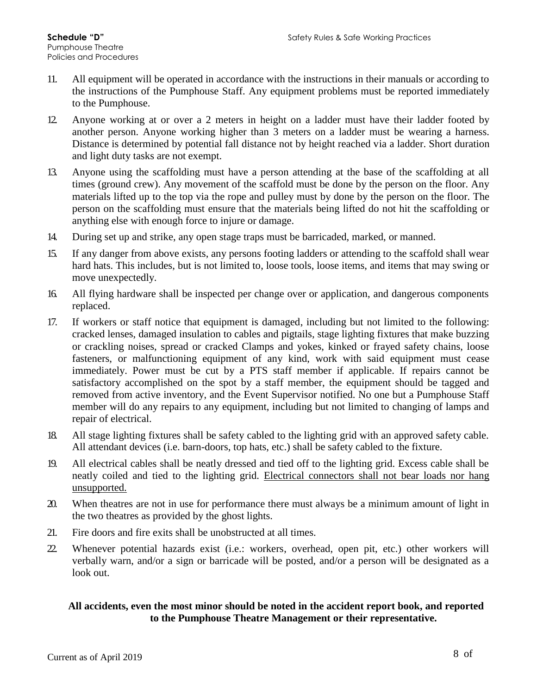- 11. All equipment will be operated in accordance with the instructions in their manuals or according to the instructions of the Pumphouse Staff. Any equipment problems must be reported immediately to the Pumphouse.
- 12. Anyone working at or over a 2 meters in height on a ladder must have their ladder footed by another person. Anyone working higher than 3 meters on a ladder must be wearing a harness. Distance is determined by potential fall distance not by height reached via a ladder. Short duration and light duty tasks are not exempt.
- 13. Anyone using the scaffolding must have a person attending at the base of the scaffolding at all times (ground crew). Any movement of the scaffold must be done by the person on the floor. Any materials lifted up to the top via the rope and pulley must by done by the person on the floor. The person on the scaffolding must ensure that the materials being lifted do not hit the scaffolding or anything else with enough force to injure or damage.
- 14. During set up and strike, any open stage traps must be barricaded, marked, or manned.
- 15. If any danger from above exists, any persons footing ladders or attending to the scaffold shall wear hard hats. This includes, but is not limited to, loose tools, loose items, and items that may swing or move unexpectedly.
- 16. All flying hardware shall be inspected per change over or application, and dangerous components replaced.
- 17. If workers or staff notice that equipment is damaged, including but not limited to the following: cracked lenses, damaged insulation to cables and pigtails, stage lighting fixtures that make buzzing or crackling noises, spread or cracked Clamps and yokes, kinked or frayed safety chains, loose fasteners, or malfunctioning equipment of any kind, work with said equipment must cease immediately. Power must be cut by a PTS staff member if applicable. If repairs cannot be satisfactory accomplished on the spot by a staff member, the equipment should be tagged and removed from active inventory, and the Event Supervisor notified. No one but a Pumphouse Staff member will do any repairs to any equipment, including but not limited to changing of lamps and repair of electrical.
- 18. All stage lighting fixtures shall be safety cabled to the lighting grid with an approved safety cable. All attendant devices (i.e. barn-doors, top hats, etc.) shall be safety cabled to the fixture.
- 19. All electrical cables shall be neatly dressed and tied off to the lighting grid. Excess cable shall be neatly coiled and tied to the lighting grid. Electrical connectors shall not bear loads nor hang unsupported.
- 20. When theatres are not in use for performance there must always be a minimum amount of light in the two theatres as provided by the ghost lights.
- 21. Fire doors and fire exits shall be unobstructed at all times.
- 22. Whenever potential hazards exist (i.e.: workers, overhead, open pit, etc.) other workers will verbally warn, and/or a sign or barricade will be posted, and/or a person will be designated as a look out.

### **All accidents, even the most minor should be noted in the accident report book, and reported to the Pumphouse Theatre Management or their representative.**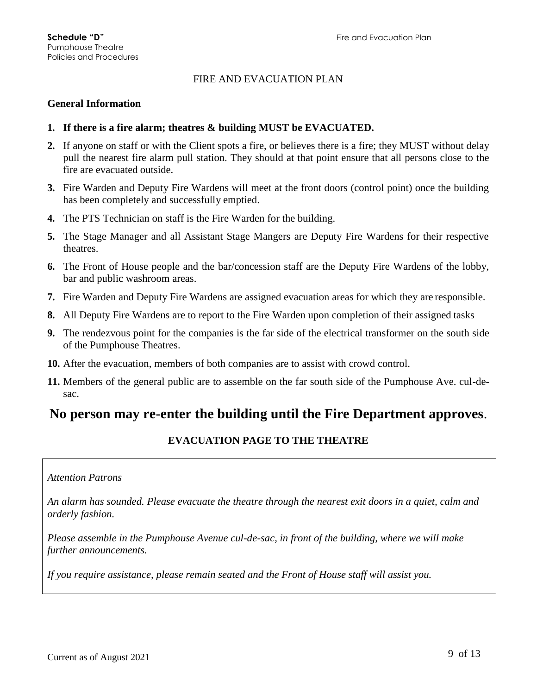### FIRE AND EVACUATION PLAN

### **General Information**

- **1. If there is a fire alarm; theatres & building MUST be EVACUATED.**
- **2.** If anyone on staff or with the Client spots a fire, or believes there is a fire; they MUST without delay pull the nearest fire alarm pull station. They should at that point ensure that all persons close to the fire are evacuated outside.
- **3.** Fire Warden and Deputy Fire Wardens will meet at the front doors (control point) once the building has been completely and successfully emptied.
- **4.** The PTS Technician on staff is the Fire Warden for the building.
- **5.** The Stage Manager and all Assistant Stage Mangers are Deputy Fire Wardens for their respective theatres.
- **6.** The Front of House people and the bar/concession staff are the Deputy Fire Wardens of the lobby, bar and public washroom areas.
- **7.** Fire Warden and Deputy Fire Wardens are assigned evacuation areas for which they are responsible.
- **8.** All Deputy Fire Wardens are to report to the Fire Warden upon completion of their assigned tasks
- **9.** The rendezvous point for the companies is the far side of the electrical transformer on the south side of the Pumphouse Theatres.
- **10.** After the evacuation, members of both companies are to assist with crowd control.
- **11.** Members of the general public are to assemble on the far south side of the Pumphouse Ave. cul-desac.

### **No person may re-enter the building until the Fire Department approves**.

### **EVACUATION PAGE TO THE THEATRE**

#### *Attention Patrons*

*An alarm has sounded. Please evacuate the theatre through the nearest exit doors in a quiet, calm and orderly fashion.*

*Please assemble in the Pumphouse Avenue cul-de-sac, in front of the building, where we will make further announcements.*

*If you require assistance, please remain seated and the Front of House staff will assist you.*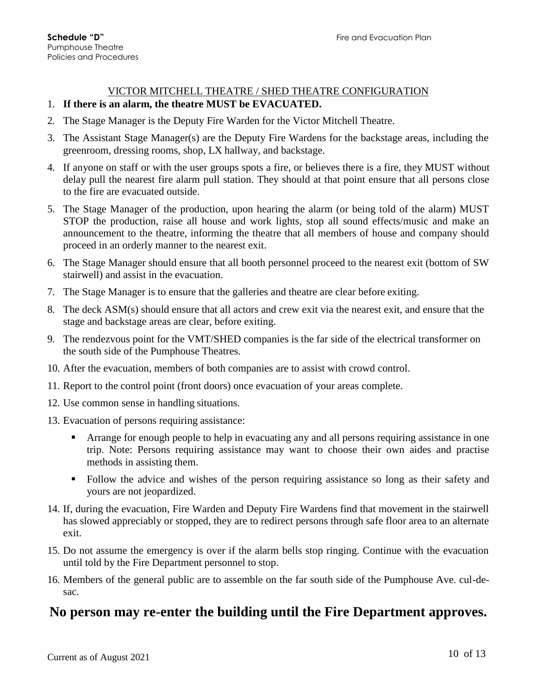# VICTOR MITCHELL THEATRE / SHED THEATRE CONFIGURATION

- 1. **If there is an alarm, the theatre MUST be EVACUATED.**
- 2. The Stage Manager is the Deputy Fire Warden for the Victor Mitchell Theatre.
- 3. The Assistant Stage Manager(s) are the Deputy Fire Wardens for the backstage areas, including the greenroom, dressing rooms, shop, LX hallway, and backstage.
- 4. If anyone on staff or with the user groups spots a fire, or believes there is a fire, they MUST without delay pull the nearest fire alarm pull station. They should at that point ensure that all persons close to the fire are evacuated outside.
- 5. The Stage Manager of the production, upon hearing the alarm (or being told of the alarm) MUST STOP the production, raise all house and work lights, stop all sound effects/music and make an announcement to the theatre, informing the theatre that all members of house and company should proceed in an orderly manner to the nearest exit.
- 6. The Stage Manager should ensure that all booth personnel proceed to the nearest exit (bottom of SW stairwell) and assist in the evacuation.
- 7. The Stage Manager is to ensure that the galleries and theatre are clear before exiting.
- 8. The deck ASM(s) should ensure that all actors and crew exit via the nearest exit, and ensure that the stage and backstage areas are clear, before exiting.
- 9. The rendezvous point for the VMT/SHED companies is the far side of the electrical transformer on the south side of the Pumphouse Theatres.
- 10. After the evacuation, members of both companies are to assist with crowd control.
- 11. Report to the control point (front doors) once evacuation of your areas complete.
- 12. Use common sense in handling situations.
- 13. Evacuation of persons requiring assistance:
	- Arrange for enough people to help in evacuating any and all persons requiring assistance in one trip. Note: Persons requiring assistance may want to choose their own aides and practise methods in assisting them.
	- Follow the advice and wishes of the person requiring assistance so long as their safety and yours are not jeopardized.
- 14. If, during the evacuation, Fire Warden and Deputy Fire Wardens find that movement in the stairwell has slowed appreciably or stopped, they are to redirect persons through safe floor area to an alternate exit.
- 15. Do not assume the emergency is over if the alarm bells stop ringing. Continue with the evacuation until told by the Fire Department personnel to stop.
- 16. Members of the general public are to assemble on the far south side of the Pumphouse Ave. cul-desac.

### **No person may re-enter the building until the Fire Department approves.**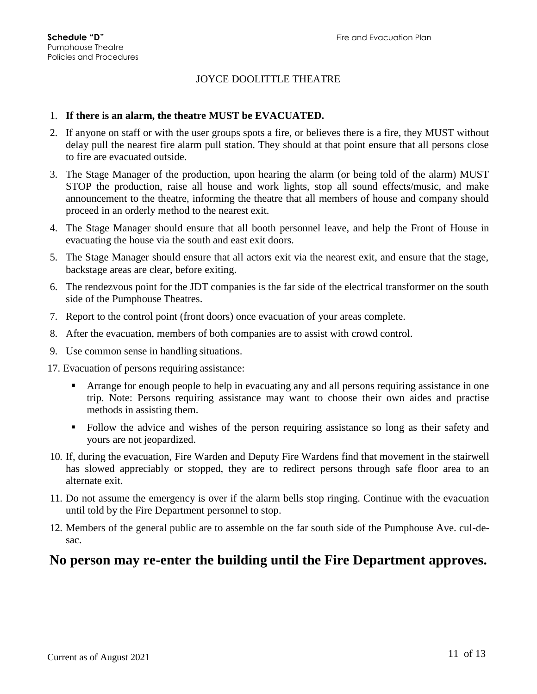### JOYCE DOOLITTLE THEATRE

### 1. **If there is an alarm, the theatre MUST be EVACUATED.**

- 2. If anyone on staff or with the user groups spots a fire, or believes there is a fire, they MUST without delay pull the nearest fire alarm pull station. They should at that point ensure that all persons close to fire are evacuated outside.
- 3. The Stage Manager of the production, upon hearing the alarm (or being told of the alarm) MUST STOP the production, raise all house and work lights, stop all sound effects/music, and make announcement to the theatre, informing the theatre that all members of house and company should proceed in an orderly method to the nearest exit.
- 4. The Stage Manager should ensure that all booth personnel leave, and help the Front of House in evacuating the house via the south and east exit doors.
- 5. The Stage Manager should ensure that all actors exit via the nearest exit, and ensure that the stage, backstage areas are clear, before exiting.
- 6. The rendezvous point for the JDT companies is the far side of the electrical transformer on the south side of the Pumphouse Theatres.
- 7. Report to the control point (front doors) once evacuation of your areas complete.
- 8. After the evacuation, members of both companies are to assist with crowd control.
- 9. Use common sense in handling situations.
- 17. Evacuation of persons requiring assistance:
	- **The Starting Formular Example 1** Arrange for enough people to help in evacuating any and all persons requiring assistance in one trip. Note: Persons requiring assistance may want to choose their own aides and practise methods in assisting them.
	- Follow the advice and wishes of the person requiring assistance so long as their safety and yours are not jeopardized.
- 10. If, during the evacuation, Fire Warden and Deputy Fire Wardens find that movement in the stairwell has slowed appreciably or stopped, they are to redirect persons through safe floor area to an alternate exit.
- 11. Do not assume the emergency is over if the alarm bells stop ringing. Continue with the evacuation until told by the Fire Department personnel to stop.
- 12. Members of the general public are to assemble on the far south side of the Pumphouse Ave. cul-desac.

### **No person may re-enter the building until the Fire Department approves.**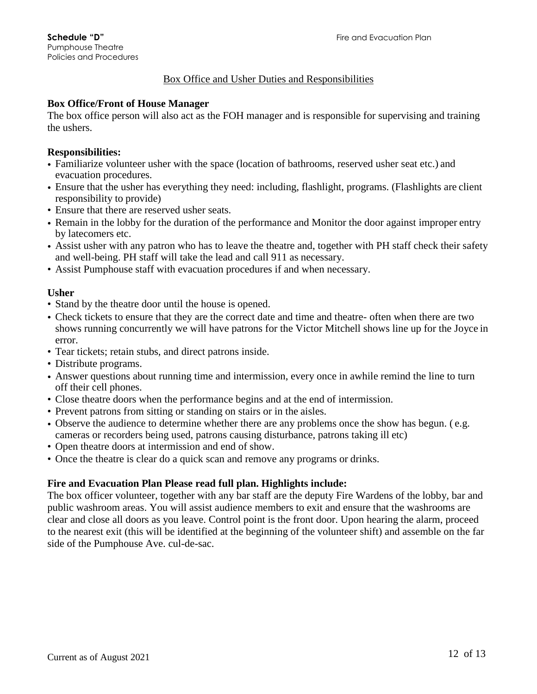### Box Office and Usher Duties and Responsibilities

### **Box Office/Front of House Manager**

The box office person will also act as the FOH manager and is responsible for supervising and training the ushers.

### **Responsibilities:**

- Familiarize volunteer usher with the space (location of bathrooms, reserved usher seat etc.) and evacuation procedures.
- Ensure that the usher has everything they need: including, flashlight, programs. (Flashlights are client responsibility to provide)
- Ensure that there are reserved usher seats.
- Remain in the lobby for the duration of the performance and Monitor the door against improper entry by latecomers etc.
- Assist usher with any patron who has to leave the theatre and, together with PH staff check their safety and well-being. PH staff will take the lead and call 911 as necessary.
- Assist Pumphouse staff with evacuation procedures if and when necessary.

### **Usher**

- Stand by the theatre door until the house is opened.
- Check tickets to ensure that they are the correct date and time and theatre- often when there are two shows running concurrently we will have patrons for the Victor Mitchell shows line up for the Joyce in error.
- Tear tickets; retain stubs, and direct patrons inside.
- Distribute programs.
- Answer questions about running time and intermission, every once in awhile remind the line to turn off their cell phones.
- Close theatre doors when the performance begins and at the end of intermission.
- Prevent patrons from sitting or standing on stairs or in the aisles.
- Observe the audience to determine whether there are any problems once the show has begun. ( e.g. cameras or recorders being used, patrons causing disturbance, patrons taking ill etc)
- Open theatre doors at intermission and end of show.
- Once the theatre is clear do a quick scan and remove any programs or drinks.

### **Fire and Evacuation Plan Please read full plan. Highlights include:**

The box officer volunteer, together with any bar staff are the deputy Fire Wardens of the lobby, bar and public washroom areas. You will assist audience members to exit and ensure that the washrooms are clear and close all doors as you leave. Control point is the front door. Upon hearing the alarm, proceed to the nearest exit (this will be identified at the beginning of the volunteer shift) and assemble on the far side of the Pumphouse Ave. cul-de-sac.